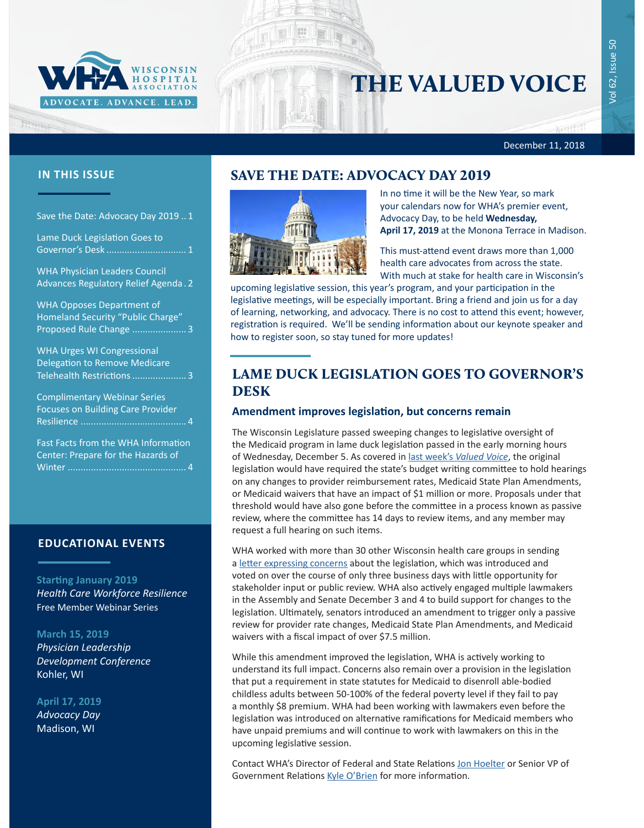

# THE VALUED VOICE

#### December 11, 2018

## **IN THIS ISSUE SAVE THE DATE: ADVOCACY DAY 2019**

Freeman

Save the Date: Advocacy Day 2019 .. 1

Lame Duck Legislation Goes to Governor's Desk ............................... 1

[WHA Physician Leaders Council](#page-1-0)  [Advances Regulatory Relief Agenda](#page-1-0) . 2

[WHA Opposes Department of](#page-2-0)  [Homeland Security "Public Charge"](#page-2-0)  [Proposed Rule Change](#page-2-0) ..................... 3

[WHA Urges WI Congressional](#page-2-0)  [Delegation to Remove Medicare](#page-2-0)  [Telehealth Restrictions.....................](#page-2-0) 3

[Complimentary Webinar Series](#page-3-0)  [Focuses on Building Care Provider](#page-3-0)  [Resilience .........................................](#page-3-0) 4

[Fast Facts from the WHA Information](#page-3-0)  [Center: Prepare for the Hazards of](#page-3-0)  Winter [..............................................](#page-3-0) 4

#### **EDUCATIONAL EVENTS**

**Starting January 2019**

*[Health Care Workforce Resilience](http://www.whareg4.org/WorkforceResilience/)* Free Member Webinar Series

**March 15, 2019** 

*[Physician Leadership](http://www.cvent.com/d/8bqp54)  [Development Conference](http://www.cvent.com/d/8bqp54)* Kohler, WI

**April 17, 2019** *Advocacy Day* Madison, WI



In no time it will be the New Year, so mark your calendars now for WHA's premier event, Advocacy Day, to be held **Wednesday, April 17, 2019** at the Monona Terrace in Madison.

This must-attend event draws more than 1,000 health care advocates from across the state. With much at stake for health care in Wisconsin's

upcoming legislative session, this year's program, and your participation in the legislative meetings, will be especially important. Bring a friend and join us for a day of learning, networking, and advocacy. There is no cost to attend this event; however, registration is required. We'll be sending information about our keynote speaker and how to register soon, so stay tuned for more updates!

## LAME DUCK LEGISLATION GOES TO GOVERNOR'S DESK

#### **Amendment improves legislation, but concerns remain**

The Wisconsin Legislature passed sweeping changes to legislative oversight of the Medicaid program in lame duck legislation passed in the early morning hours of Wednesday, December 5. As covered in last week's *[Valued Voice](https://www.wha.org/WisconsinHospitalAssociation/media/WHANewsLetters/2018PDF/WHA-Newsletter-12-04-2018.pdf#page=1)*, the original legislation would have required the state's budget writing committee to hold hearings on any changes to provider reimbursement rates, Medicaid State Plan Amendments, or Medicaid waivers that have an impact of \$1 million or more. Proposals under that threshold would have also gone before the committee in a process known as passive review, where the committee has 14 days to review items, and any member may request a full hearing on such items.

WHA worked with more than 30 other Wisconsin health care groups in sending a [letter expressing concerns](https://www.wha.org/WisconsinHospitalAssociation/media/WHACommon/CommentLetters/2018-12-3-Wisconsin-Health-Care-Groups-Letter-ConcernsAB1072and1073.pdf) about the legislation, which was introduced and voted on over the course of only three business days with little opportunity for stakeholder input or public review. WHA also actively engaged multiple lawmakers in the Assembly and Senate December 3 and 4 to build support for changes to the legislation. Ultimately, senators introduced an amendment to trigger only a passive review for provider rate changes, Medicaid State Plan Amendments, and Medicaid waivers with a fiscal impact of over \$7.5 million.

While this amendment improved the legislation, WHA is actively working to understand its full impact. Concerns also remain over a provision in the legislation that put a requirement in state statutes for Medicaid to disenroll able-bodied childless adults between 50-100% of the federal poverty level if they fail to pay a monthly \$8 premium. WHA had been working with lawmakers even before the legislation was introduced on alternative ramifications for Medicaid members who have unpaid premiums and will continue to work with lawmakers on this in the upcoming legislative session.

Contact WHA's Director of Federal and State Relations [Jon Hoelter](mailto:jhoelter@wha.org) or Senior VP of Government Relations [Kyle O'Brien](mailto:kobrien@wha.org) for more information.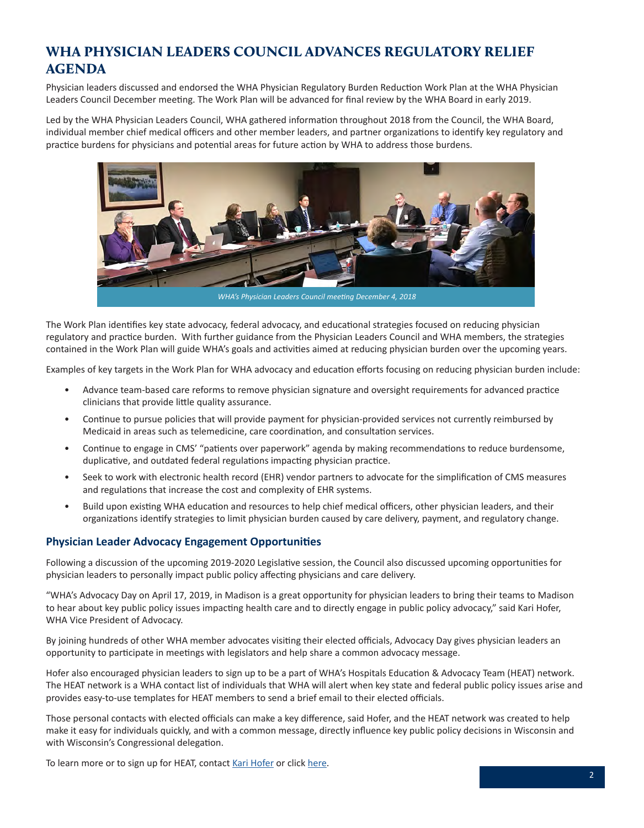## <span id="page-1-0"></span>WHA PHYSICIAN LEADERS COUNCIL ADVANCES REGULATORY RELIEF AGENDA

Physician leaders discussed and endorsed the WHA Physician Regulatory Burden Reduction Work Plan at the WHA Physician Leaders Council December meeting. The Work Plan will be advanced for final review by the WHA Board in early 2019.

Led by the WHA Physician Leaders Council, WHA gathered information throughout 2018 from the Council, the WHA Board, individual member chief medical officers and other member leaders, and partner organizations to identify key regulatory and practice burdens for physicians and potential areas for future action by WHA to address those burdens.



The Work Plan identifies key state advocacy, federal advocacy, and educational strategies focused on reducing physician regulatory and practice burden. With further guidance from the Physician Leaders Council and WHA members, the strategies contained in the Work Plan will guide WHA's goals and activities aimed at reducing physician burden over the upcoming years.

Examples of key targets in the Work Plan for WHA advocacy and education efforts focusing on reducing physician burden include:

- Advance team-based care reforms to remove physician signature and oversight requirements for advanced practice clinicians that provide little quality assurance.
- Continue to pursue policies that will provide payment for physician-provided services not currently reimbursed by Medicaid in areas such as telemedicine, care coordination, and consultation services.
- Continue to engage in CMS' "patients over paperwork" agenda by making recommendations to reduce burdensome, duplicative, and outdated federal regulations impacting physician practice.
- Seek to work with electronic health record (EHR) vendor partners to advocate for the simplification of CMS measures and regulations that increase the cost and complexity of EHR systems.
- Build upon existing WHA education and resources to help chief medical officers, other physician leaders, and their organizations identify strategies to limit physician burden caused by care delivery, payment, and regulatory change.

#### **Physician Leader Advocacy Engagement Opportunities**

Following a discussion of the upcoming 2019-2020 Legislative session, the Council also discussed upcoming opportunities for physician leaders to personally impact public policy affecting physicians and care delivery.

"WHA's Advocacy Day on April 17, 2019, in Madison is a great opportunity for physician leaders to bring their teams to Madison to hear about key public policy issues impacting health care and to directly engage in public policy advocacy," said Kari Hofer, WHA Vice President of Advocacy.

By joining hundreds of other WHA member advocates visiting their elected officials, Advocacy Day gives physician leaders an opportunity to participate in meetings with legislators and help share a common advocacy message.

Hofer also encouraged physician leaders to sign up to be a part of WHA's Hospitals Education & Advocacy Team (HEAT) network. The HEAT network is a WHA contact list of individuals that WHA will alert when key state and federal public policy issues arise and provides easy-to-use templates for HEAT members to send a brief email to their elected officials.

Those personal contacts with elected officials can make a key difference, said Hofer, and the HEAT network was created to help make it easy for individuals quickly, and with a common message, directly influence key public policy decisions in Wisconsin and with Wisconsin's Congressional delegation.

To learn more or to sign up for HEAT, contact [Kari Hofer](mailto:khofer@wha.org) or click [here.](https://www.wha.org/EngageInAdvocacy/EngageinAdvocacy)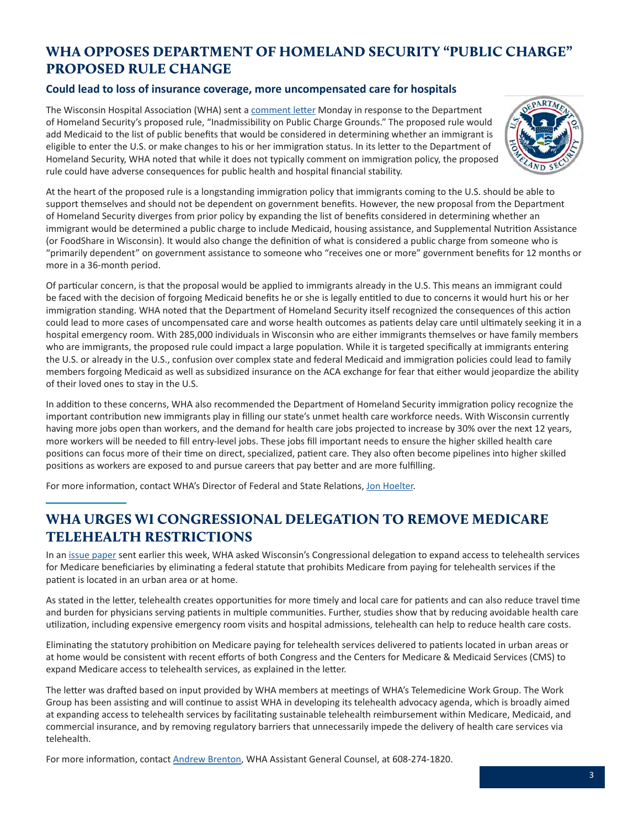## <span id="page-2-0"></span>WHA OPPOSES DEPARTMENT OF HOMELAND SECURITY "PUBLIC CHARGE" PROPOSED RULE CHANGE

### **Could lead to loss of insurance coverage, more uncompensated care for hospitals**

The Wisconsin Hospital Association (WHA) sent a [comment letter](https://www.wha.org/WisconsinHospitalAssociation/media/WHACommon/CommentLetters/2018Comment-Letter-to-DHS-Public-Charge12-10.pdf) Monday in response to the Department of Homeland Security's proposed rule, "Inadmissibility on Public Charge Grounds." The proposed rule would add Medicaid to the list of public benefits that would be considered in determining whether an immigrant is eligible to enter the U.S. or make changes to his or her immigration status. In its letter to the Department of Homeland Security, WHA noted that while it does not typically comment on immigration policy, the proposed rule could have adverse consequences for public health and hospital financial stability.



At the heart of the proposed rule is a longstanding immigration policy that immigrants coming to the U.S. should be able to support themselves and should not be dependent on government benefits. However, the new proposal from the Department of Homeland Security diverges from prior policy by expanding the list of benefits considered in determining whether an immigrant would be determined a public charge to include Medicaid, housing assistance, and Supplemental Nutrition Assistance (or FoodShare in Wisconsin). It would also change the definition of what is considered a public charge from someone who is "primarily dependent" on government assistance to someone who "receives one or more" government benefits for 12 months or more in a 36-month period.

Of particular concern, is that the proposal would be applied to immigrants already in the U.S. This means an immigrant could be faced with the decision of forgoing Medicaid benefits he or she is legally entitled to due to concerns it would hurt his or her immigration standing. WHA noted that the Department of Homeland Security itself recognized the consequences of this action could lead to more cases of uncompensated care and worse health outcomes as patients delay care until ultimately seeking it in a hospital emergency room. With 285,000 individuals in Wisconsin who are either immigrants themselves or have family members who are immigrants, the proposed rule could impact a large population. While it is targeted specifically at immigrants entering the U.S. or already in the U.S., confusion over complex state and federal Medicaid and immigration policies could lead to family members forgoing Medicaid as well as subsidized insurance on the ACA exchange for fear that either would jeopardize the ability of their loved ones to stay in the U.S.

In addition to these concerns, WHA also recommended the Department of Homeland Security immigration policy recognize the important contribution new immigrants play in filling our state's unmet health care workforce needs. With Wisconsin currently having more jobs open than workers, and the demand for health care jobs projected to increase by 30% over the next 12 years, more workers will be needed to fill entry-level jobs. These jobs fill important needs to ensure the higher skilled health care positions can focus more of their time on direct, specialized, patient care. They also often become pipelines into higher skilled positions as workers are exposed to and pursue careers that pay better and are more fulfilling.

For more information, contact WHA's Director of Federal and State Relations, [Jon Hoelter](mailto:jhoelter@wha.org).

## WHA URGES WI CONGRESSIONAL DELEGATION TO REMOVE MEDICARE TELEHEALTH RESTRICTIONS

In an [issue paper](https://www.wha.org/WisconsinHospitalAssociation/media/WHACommon/Health%20Care/PDFs/Medicare-Telehealth-Issue-Paper12-2018.pdf) sent earlier this week, WHA asked Wisconsin's Congressional delegation to expand access to telehealth services for Medicare beneficiaries by eliminating a federal statute that prohibits Medicare from paying for telehealth services if the patient is located in an urban area or at home.

As stated in the letter, telehealth creates opportunities for more timely and local care for patients and can also reduce travel time and burden for physicians serving patients in multiple communities. Further, studies show that by reducing avoidable health care utilization, including expensive emergency room visits and hospital admissions, telehealth can help to reduce health care costs.

Eliminating the statutory prohibition on Medicare paying for telehealth services delivered to patients located in urban areas or at home would be consistent with recent efforts of both Congress and the Centers for Medicare & Medicaid Services (CMS) to expand Medicare access to telehealth services, as explained in the letter.

The letter was drafted based on input provided by WHA members at meetings of WHA's Telemedicine Work Group. The Work Group has been assisting and will continue to assist WHA in developing its telehealth advocacy agenda, which is broadly aimed at expanding access to telehealth services by facilitating sustainable telehealth reimbursement within Medicare, Medicaid, and commercial insurance, and by removing regulatory barriers that unnecessarily impede the delivery of health care services via telehealth.

For more information, contact [Andrew Brenton](mailto:abrenton@wha.org), WHA Assistant General Counsel, at 608-274-1820.